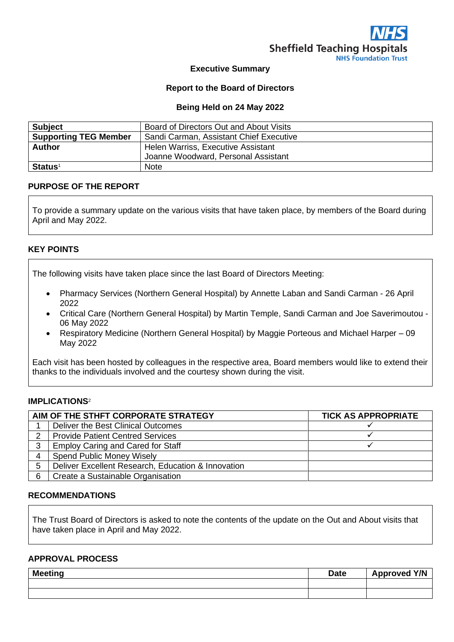

#### **Executive Summary**

#### **Report to the Board of Directors**

#### **Being Held on 24 May 2022**

| <b>Subject</b>               | Board of Directors Out and About Visits |
|------------------------------|-----------------------------------------|
| <b>Supporting TEG Member</b> | Sandi Carman, Assistant Chief Executive |
| <b>Author</b>                | Helen Warriss, Executive Assistant      |
|                              | Joanne Woodward, Personal Assistant     |
| <b>Status</b> <sup>1</sup>   | <b>Note</b>                             |

#### **PURPOSE OF THE REPORT**

To provide a summary update on the various visits that have taken place, by members of the Board during April and May 2022.

#### **KEY POINTS**

The following visits have taken place since the last Board of Directors Meeting:

- Pharmacy Services (Northern General Hospital) by Annette Laban and Sandi Carman 26 April 2022
- Critical Care (Northern General Hospital) by Martin Temple, Sandi Carman and Joe Saverimoutou 06 May 2022
- Respiratory Medicine (Northern General Hospital) by Maggie Porteous and Michael Harper 09 May 2022

Each visit has been hosted by colleagues in the respective area, Board members would like to extend their thanks to the individuals involved and the courtesy shown during the visit.

#### **IMPLICATIONS**<sup>2</sup>

| AIM OF THE STHFT CORPORATE STRATEGY |                                                    | <b>TICK AS APPROPRIATE</b> |
|-------------------------------------|----------------------------------------------------|----------------------------|
|                                     | Deliver the Best Clinical Outcomes                 |                            |
| $\overline{2}$                      | <b>Provide Patient Centred Services</b>            |                            |
| 3                                   | <b>Employ Caring and Cared for Staff</b>           |                            |
| 4                                   | <b>Spend Public Money Wisely</b>                   |                            |
| 5                                   | Deliver Excellent Research, Education & Innovation |                            |
| 6                                   | Create a Sustainable Organisation                  |                            |

## **RECOMMENDATIONS**

The Trust Board of Directors is asked to note the contents of the update on the Out and About visits that have taken place in April and May 2022.

#### **APPROVAL PROCESS**

| <b>Meeting</b> | <b>Date</b> | Approved Y/N |
|----------------|-------------|--------------|
|                |             |              |
|                |             |              |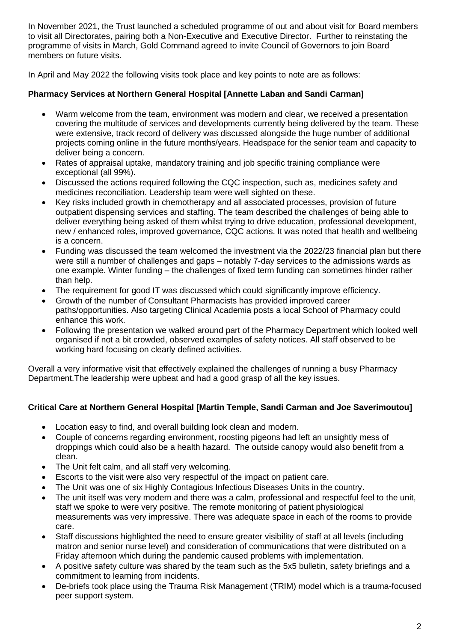In November 2021, the Trust launched a scheduled programme of out and about visit for Board members to visit all Directorates, pairing both a Non-Executive and Executive Director. Further to reinstating the programme of visits in March, Gold Command agreed to invite Council of Governors to join Board members on future visits.

In April and May 2022 the following visits took place and key points to note are as follows:

# **Pharmacy Services at Northern General Hospital [Annette Laban and Sandi Carman]**

- Warm welcome from the team, environment was modern and clear, we received a presentation covering the multitude of services and developments currently being delivered by the team. These were extensive, track record of delivery was discussed alongside the huge number of additional projects coming online in the future months/years. Headspace for the senior team and capacity to deliver being a concern.
- Rates of appraisal uptake, mandatory training and job specific training compliance were exceptional (all 99%).
- Discussed the actions required following the CQC inspection, such as, medicines safety and medicines reconciliation. Leadership team were well sighted on these.
- Key risks included growth in chemotherapy and all associated processes, provision of future outpatient dispensing services and staffing. The team described the challenges of being able to deliver everything being asked of them whilst trying to drive education, professional development, new / enhanced roles, improved governance, CQC actions. It was noted that health and wellbeing is a concern.
- Funding was discussed the team welcomed the investment via the 2022/23 financial plan but there were still a number of challenges and gaps – notably 7-day services to the admissions wards as one example. Winter funding – the challenges of fixed term funding can sometimes hinder rather than help.
- The requirement for good IT was discussed which could significantly improve efficiency.
- Growth of the number of Consultant Pharmacists has provided improved career paths/opportunities. Also targeting Clinical Academia posts a local School of Pharmacy could enhance this work.
- Following the presentation we walked around part of the Pharmacy Department which looked well organised if not a bit crowded, observed examples of safety notices. All staff observed to be working hard focusing on clearly defined activities.

Overall a very informative visit that effectively explained the challenges of running a busy Pharmacy Department.The leadership were upbeat and had a good grasp of all the key issues.

# **Critical Care at Northern General Hospital [Martin Temple, Sandi Carman and Joe Saverimoutou]**

- Location easy to find, and overall building look clean and modern.
- Couple of concerns regarding environment, roosting pigeons had left an unsightly mess of droppings which could also be a health hazard. The outside canopy would also benefit from a clean.
- The Unit felt calm, and all staff very welcoming.
- Escorts to the visit were also very respectful of the impact on patient care.
- The Unit was one of six Highly Contagious Infectious Diseases Units in the country.
- The unit itself was very modern and there was a calm, professional and respectful feel to the unit, staff we spoke to were very positive. The remote monitoring of patient physiological measurements was very impressive. There was adequate space in each of the rooms to provide care.
- Staff discussions highlighted the need to ensure greater visibility of staff at all levels (including matron and senior nurse level) and consideration of communications that were distributed on a Friday afternoon which during the pandemic caused problems with implementation.
- A positive safety culture was shared by the team such as the 5x5 bulletin, safety briefings and a commitment to learning from incidents.
- De-briefs took place using the Trauma Risk Management (TRIM) model which is a trauma-focused peer support system.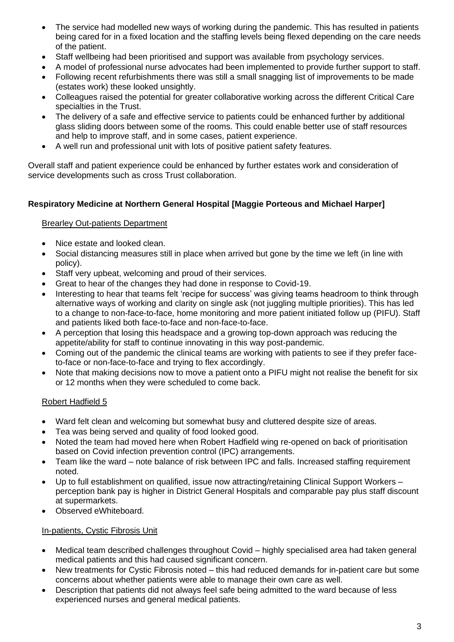- The service had modelled new ways of working during the pandemic. This has resulted in patients being cared for in a fixed location and the staffing levels being flexed depending on the care needs of the patient.
- Staff wellbeing had been prioritised and support was available from psychology services.
- A model of professional nurse advocates had been implemented to provide further support to staff.
- Following recent refurbishments there was still a small snagging list of improvements to be made (estates work) these looked unsightly.
- Colleagues raised the potential for greater collaborative working across the different Critical Care specialties in the Trust.
- The delivery of a safe and effective service to patients could be enhanced further by additional glass sliding doors between some of the rooms. This could enable better use of staff resources and help to improve staff, and in some cases, patient experience.
- A well run and professional unit with lots of positive patient safety features.

Overall staff and patient experience could be enhanced by further estates work and consideration of service developments such as cross Trust collaboration.

## **Respiratory Medicine at Northern General Hospital [Maggie Porteous and Michael Harper]**

## Brearley Out-patients Department

- Nice estate and looked clean.
- Social distancing measures still in place when arrived but gone by the time we left (in line with policy).
- Staff very upbeat, welcoming and proud of their services.
- Great to hear of the changes they had done in response to Covid-19.
- Interesting to hear that teams felt 'recipe for success' was giving teams headroom to think through alternative ways of working and clarity on single ask (not juggling multiple priorities). This has led to a change to non-face-to-face, home monitoring and more patient initiated follow up (PIFU). Staff and patients liked both face-to-face and non-face-to-face.
- A perception that losing this headspace and a growing top-down approach was reducing the appetite/ability for staff to continue innovating in this way post-pandemic.
- Coming out of the pandemic the clinical teams are working with patients to see if they prefer faceto-face or non-face-to-face and trying to flex accordingly.
- Note that making decisions now to move a patient onto a PIFU might not realise the benefit for six or 12 months when they were scheduled to come back.

## Robert Hadfield 5

- Ward felt clean and welcoming but somewhat busy and cluttered despite size of areas.
- Tea was being served and quality of food looked good.
- Noted the team had moved here when Robert Hadfield wing re-opened on back of prioritisation based on Covid infection prevention control (IPC) arrangements.
- Team like the ward note balance of risk between IPC and falls. Increased staffing requirement noted.
- Up to full establishment on qualified, issue now attracting/retaining Clinical Support Workers perception bank pay is higher in District General Hospitals and comparable pay plus staff discount at supermarkets.
- Observed eWhiteboard.

## In-patients, Cystic Fibrosis Unit

- Medical team described challenges throughout Covid highly specialised area had taken general medical patients and this had caused significant concern.
- New treatments for Cystic Fibrosis noted this had reduced demands for in-patient care but some concerns about whether patients were able to manage their own care as well.
- Description that patients did not always feel safe being admitted to the ward because of less experienced nurses and general medical patients.